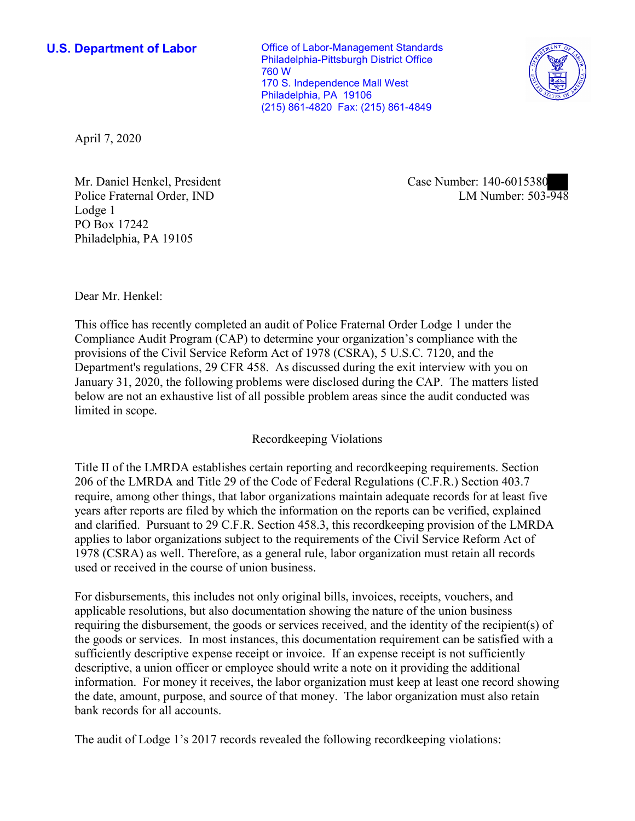**U.S. Department of Labor Conservative Conservative Conservative Conservative Conservative Conservative Conservative Conservative Conservative Conservative Conservative Conservative Conservative Conservative Conservative** Philadelphia-Pittsburgh District Office 760 W 170 S. Independence Mall West Philadelphia, PA 19106 (215) 861-4820 Fax: (215) 861-4849



April 7, 2020

Mr. Daniel Henkel, President Case Number: 140-6015380 Police Fraternal Order, IND Lodge 1 PO Box 17242 Philadelphia, PA 19105

LM Number:  $503 - \overline{948}$ 

Dear Mr. Henkel:

 This office has recently completed an audit of Police Fraternal Order Lodge 1 under the Compliance Audit Program (CAP) to determine your organization's compliance with the provisions of the Civil Service Reform Act of 1978 (CSRA), 5 U.S.C. 7120, and the Department's regulations, 29 CFR 458. As discussed during the exit interview with you on January 31, 2020, the following problems were disclosed during the CAP. The matters listed below are not an exhaustive list of all possible problem areas since the audit conducted was limited in scope.

## Recordkeeping Violations

 Title II of the LMRDA establishes certain reporting and recordkeeping requirements. Section and clarified. Pursuant to 29 C.F.R. Section 458.3, this recordkeeping provision of the LMRDA 206 of the LMRDA and Title 29 of the Code of Federal Regulations (C.F.R.) Section 403.7 require, among other things, that labor organizations maintain adequate records for at least five years after reports are filed by which the information on the reports can be verified, explained applies to labor organizations subject to the requirements of the Civil Service Reform Act of 1978 (CSRA) as well. Therefore, as a general rule, labor organization must retain all records used or received in the course of union business.

For disbursements, this includes not only original bills, invoices, receipts, vouchers, and applicable resolutions, but also documentation showing the nature of the union business requiring the disbursement, the goods or services received, and the identity of the recipient(s) of the goods or services. In most instances, this documentation requirement can be satisfied with a sufficiently descriptive expense receipt or invoice. If an expense receipt is not sufficiently descriptive, a union officer or employee should write a note on it providing the additional information. For money it receives, the labor organization must keep at least one record showing the date, amount, purpose, and source of that money. The labor organization must also retain bank records for all accounts.

The audit of Lodge 1's 2017 records revealed the following recordkeeping violations: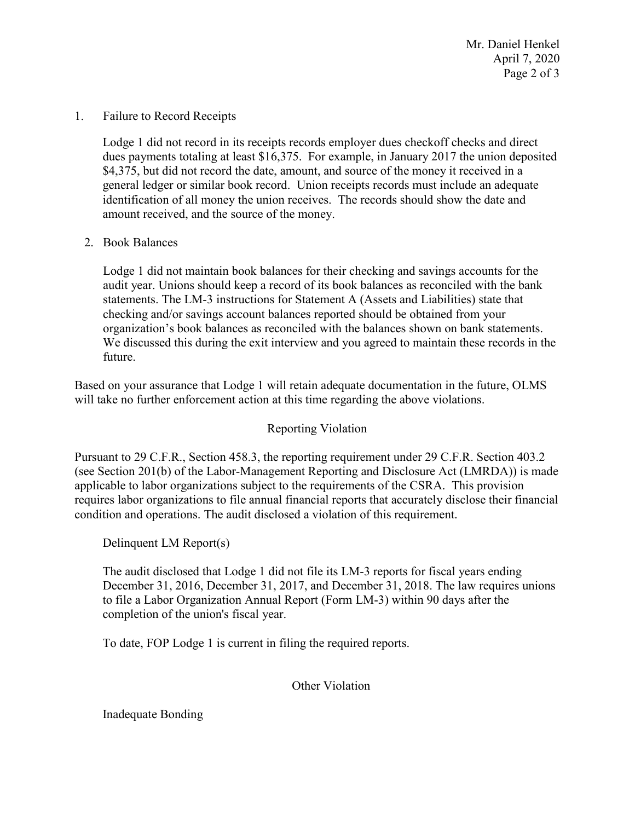April 7, 2020 Page 2 of 3 Mr. Daniel Henkel

1. Failure to Record Receipts

 Lodge 1 did not record in its receipts records employer dues checkoff checks and direct identification of all money the union receives. The records should show the date and dues payments totaling at least \$16,375. For example, in January 2017 the union deposited \$4,375, but did not record the date, amount, and source of the money it received in a general ledger or similar book record. Union receipts records must include an adequate amount received, and the source of the money.

2. Book Balances

 Lodge 1 did not maintain book balances for their checking and savings accounts for the audit year. Unions should keep a record of its book balances as reconciled with the bank statements. The LM-3 instructions for Statement A (Assets and Liabilities) state that checking and/or savings account balances reported should be obtained from your organization's book balances as reconciled with the balances shown on bank statements. We discussed this during the exit interview and you agreed to maintain these records in the future.

 Based on your assurance that Lodge 1 will retain adequate documentation in the future, OLMS will take no further enforcement action at this time regarding the above violations.

Reporting Violation

Pursuant to 29 C.F.R., Section 458.3, the reporting requirement under 29 C.F.R. Section 403.2 (see Section 201(b) of the Labor-Management Reporting and Disclosure Act (LMRDA)) is made applicable to labor organizations subject to the requirements of the CSRA. This provision requires labor organizations to file annual financial reports that accurately disclose their financial condition and operations. The audit disclosed a violation of this requirement.

Delinquent LM Report(s)

 completion of the union's fiscal year. The audit disclosed that Lodge 1 did not file its LM-3 reports for fiscal years ending December 31, 2016, December 31, 2017, and December 31, 2018. The law requires unions to file a Labor Organization Annual Report (Form LM-3) within 90 days after the

To date, FOP Lodge 1 is current in filing the required reports.

Other Violation

Inadequate Bonding